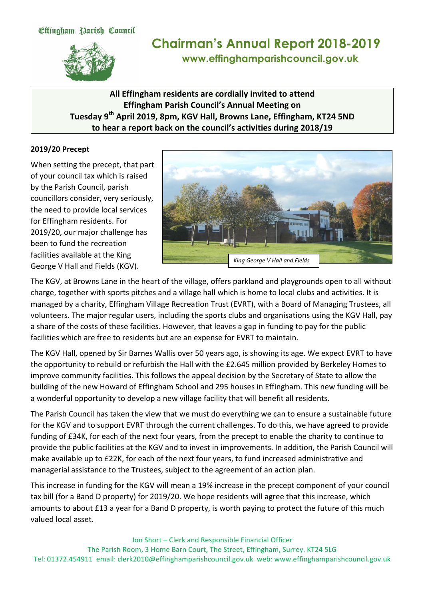

# **Chairman's Annual Report 2018-2019 www.effinghamparishcouncil.gov.uk**

## All Effingham residents are cordially invited to attend **Effingham Parish Council's Annual Meeting on Tuesday 9th April 2019, 8pm, KGV Hall, Browns Lane, Effingham, KT24 5ND** to hear a report back on the council's activities during 2018/19

#### **2019/20 Precept**

When setting the precept, that part of your council tax which is raised by the Parish Council, parish councillors consider, very seriously, the need to provide local services for Effingham residents. For 2019/20, our major challenge has been to fund the recreation facilities available at the King George V Hall and Fields (KGV).



The KGV, at Browns Lane in the heart of the village, offers parkland and playgrounds open to all without charge, together with sports pitches and a village hall which is home to local clubs and activities. It is managed by a charity, Effingham Village Recreation Trust (EVRT), with a Board of Managing Trustees, all volunteers. The major regular users, including the sports clubs and organisations using the KGV Hall, pay a share of the costs of these facilities. However, that leaves a gap in funding to pay for the public facilities which are free to residents but are an expense for EVRT to maintain.

The KGV Hall, opened by Sir Barnes Wallis over 50 years ago, is showing its age. We expect EVRT to have the opportunity to rebuild or refurbish the Hall with the £2.645 million provided by Berkeley Homes to improve community facilities. This follows the appeal decision by the Secretary of State to allow the building of the new Howard of Effingham School and 295 houses in Effingham. This new funding will be a wonderful opportunity to develop a new village facility that will benefit all residents.

The Parish Council has taken the view that we must do everything we can to ensure a sustainable future for the KGV and to support EVRT through the current challenges. To do this, we have agreed to provide funding of £34K, for each of the next four years, from the precept to enable the charity to continue to provide the public facilities at the KGV and to invest in improvements. In addition, the Parish Council will make available up to £22K, for each of the next four years, to fund increased administrative and managerial assistance to the Trustees, subject to the agreement of an action plan.

This increase in funding for the KGV will mean a 19% increase in the precept component of your council tax bill (for a Band D property) for 2019/20. We hope residents will agree that this increase, which amounts to about  $£13$  a year for a Band D property, is worth paying to protect the future of this much valued local asset.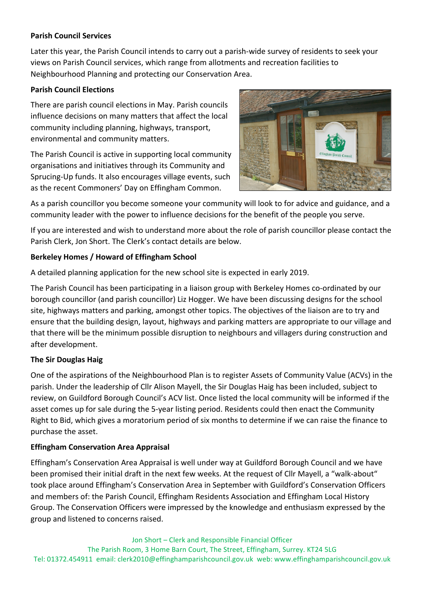#### **Parish Council Services**

Later this year, the Parish Council intends to carry out a parish-wide survey of residents to seek your views on Parish Council services, which range from allotments and recreation facilities to Neighbourhood Planning and protecting our Conservation Area.

#### **Parish Council Elections**

There are parish council elections in May. Parish councils influence decisions on many matters that affect the local community including planning, highways, transport, environmental and community matters.

The Parish Council is active in supporting local community organisations and initiatives through its Community and Sprucing-Up funds. It also encourages village events, such as the recent Commoners' Day on Effingham Common.



As a parish councillor you become someone your community will look to for advice and guidance, and a community leader with the power to influence decisions for the benefit of the people you serve.

If you are interested and wish to understand more about the role of parish councillor please contact the Parish Clerk, Jon Short. The Clerk's contact details are below.

## **Berkeley Homes / Howard of Effingham School**

A detailed planning application for the new school site is expected in early 2019.

The Parish Council has been participating in a liaison group with Berkeley Homes co-ordinated by our borough councillor (and parish councillor) Liz Hogger. We have been discussing designs for the school site, highways matters and parking, amongst other topics. The objectives of the liaison are to try and ensure that the building design, layout, highways and parking matters are appropriate to our village and that there will be the minimum possible disruption to neighbours and villagers during construction and after development. 

## **The Sir Douglas Haig**

One of the aspirations of the Neighbourhood Plan is to register Assets of Community Value (ACVs) in the parish. Under the leadership of Cllr Alison Mayell, the Sir Douglas Haig has been included, subject to review, on Guildford Borough Council's ACV list. Once listed the local community will be informed if the asset comes up for sale during the 5-year listing period. Residents could then enact the Community Right to Bid, which gives a moratorium period of six months to determine if we can raise the finance to purchase the asset.

## **Effingham Conservation Area Appraisal**

Effingham's Conservation Area Appraisal is well under way at Guildford Borough Council and we have been promised their initial draft in the next few weeks. At the request of Cllr Mayell, a "walk-about" took place around Effingham's Conservation Area in September with Guildford's Conservation Officers and members of: the Parish Council, Effingham Residents Association and Effingham Local History Group. The Conservation Officers were impressed by the knowledge and enthusiasm expressed by the group and listened to concerns raised.

Jon Short - Clerk and Responsible Financial Officer The Parish Room, 3 Home Barn Court, The Street, Effingham, Surrey. KT24 5LG Tel: 01372.454911 email: clerk2010@effinghamparishcouncil.gov.uk web: www.effinghamparishcouncil.gov.uk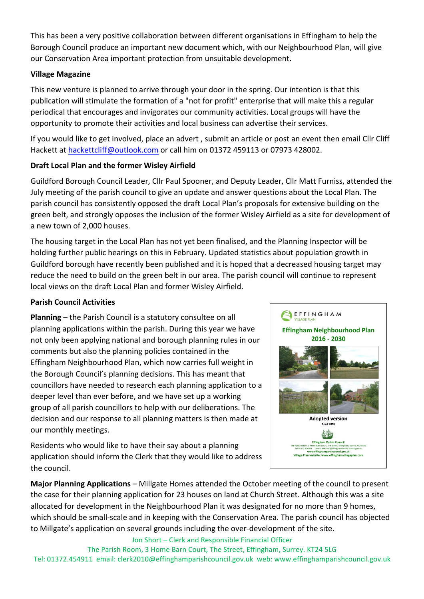This has been a very positive collaboration between different organisations in Effingham to help the Borough Council produce an important new document which, with our Neighbourhood Plan, will give our Conservation Area important protection from unsuitable development.

#### **Village Magazine**

This new venture is planned to arrive through your door in the spring. Our intention is that this publication will stimulate the formation of a "not for profit" enterprise that will make this a regular periodical that encourages and invigorates our community activities. Local groups will have the opportunity to promote their activities and local business can advertise their services.

If you would like to get involved, place an advert, submit an article or post an event then email Cllr Cliff Hackett at hackettcliff@outlook.com or call him on 01372 459113 or 07973 428002.

## **Draft Local Plan and the former Wisley Airfield**

Guildford Borough Council Leader, Cllr Paul Spooner, and Deputy Leader, Cllr Matt Furniss, attended the July meeting of the parish council to give an update and answer questions about the Local Plan. The parish council has consistently opposed the draft Local Plan's proposals for extensive building on the green belt, and strongly opposes the inclusion of the former Wisley Airfield as a site for development of a new town of 2,000 houses.

The housing target in the Local Plan has not yet been finalised, and the Planning Inspector will be holding further public hearings on this in February. Updated statistics about population growth in Guildford borough have recently been published and it is hoped that a decreased housing target may reduce the need to build on the green belt in our area. The parish council will continue to represent local views on the draft Local Plan and former Wisley Airfield.

#### **Parish Council Activities**

**Planning** – the Parish Council is a statutory consultee on all planning applications within the parish. During this year we have not only been applying national and borough planning rules in our comments but also the planning policies contained in the Effingham Neighbourhood Plan, which now carries full weight in the Borough Council's planning decisions. This has meant that councillors have needed to research each planning application to a deeper level than ever before, and we have set up a working group of all parish councillors to help with our deliberations. The decision and our response to all planning matters is then made at our monthly meetings.

**Effingham Neighbourhood Plan** 2016 - 2030 **Adopted version April 2018** 稀 **Effingham Parish Council** www.effinghamparishcouncil.gov.uk<br>Village Plan website: www.effinghamvillageplan.co

SEFFINGHAM

Residents who would like to have their say about a planning application should inform the Clerk that they would like to address the council.

**Major Planning Applications** – Millgate Homes attended the October meeting of the council to present the case for their planning application for 23 houses on land at Church Street. Although this was a site allocated for development in the Neighbourhood Plan it was designated for no more than 9 homes, which should be small-scale and in keeping with the Conservation Area. The parish council has objected to Millgate's application on several grounds including the over-development of the site.

Jon Short - Clerk and Responsible Financial Officer

The Parish Room, 3 Home Barn Court, The Street, Effingham, Surrey. KT24 5LG Tel: 01372.454911 email: clerk2010@effinghamparishcouncil.gov.uk web: www.effinghamparishcouncil.gov.uk